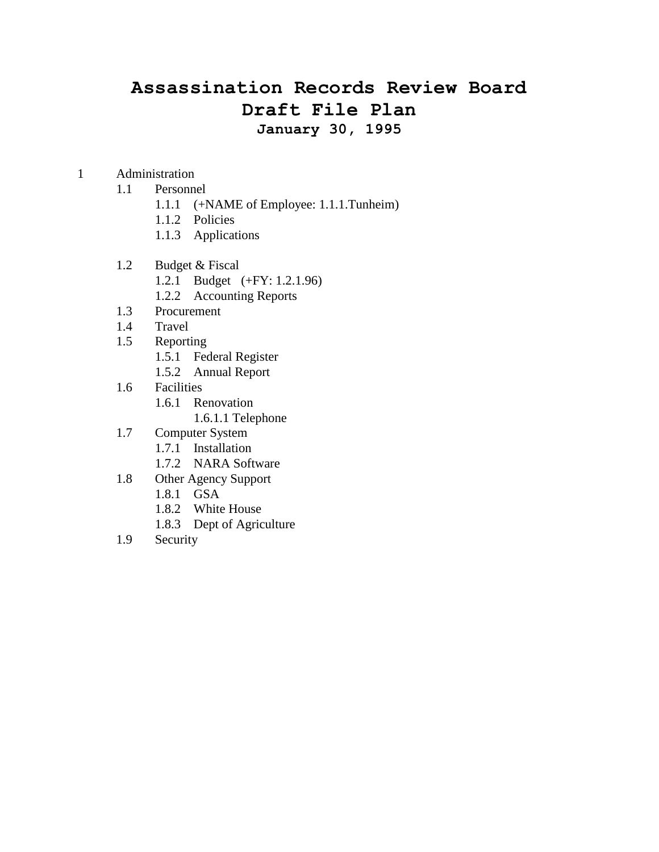## **Assassination Records Review Board Draft File Plan January 30, 1995**

1 Administration

### 1.1 Personnel

- 1.1.1 (+NAME of Employee: 1.1.1.Tunheim)
- 1.1.2 Policies
- 1.1.3 Applications
- 1.2 Budget & Fiscal
	- 1.2.1 Budget (+FY: 1.2.1.96)
	- 1.2.2 Accounting Reports
- 1.3 Procurement
- 1.4 Travel
- 1.5 Reporting
	- 1.5.1 Federal Register
	- 1.5.2 Annual Report
- 1.6 Facilities
	- 1.6.1 Renovation
		- 1.6.1.1 Telephone
- 1.7 Computer System
	- 1.7.1 Installation
	- 1.7.2 NARA Software
- 1.8 Other Agency Support
	- 1.8.1 GSA
	- 1.8.2 White House
	- 1.8.3 Dept of Agriculture
- 1.9 Security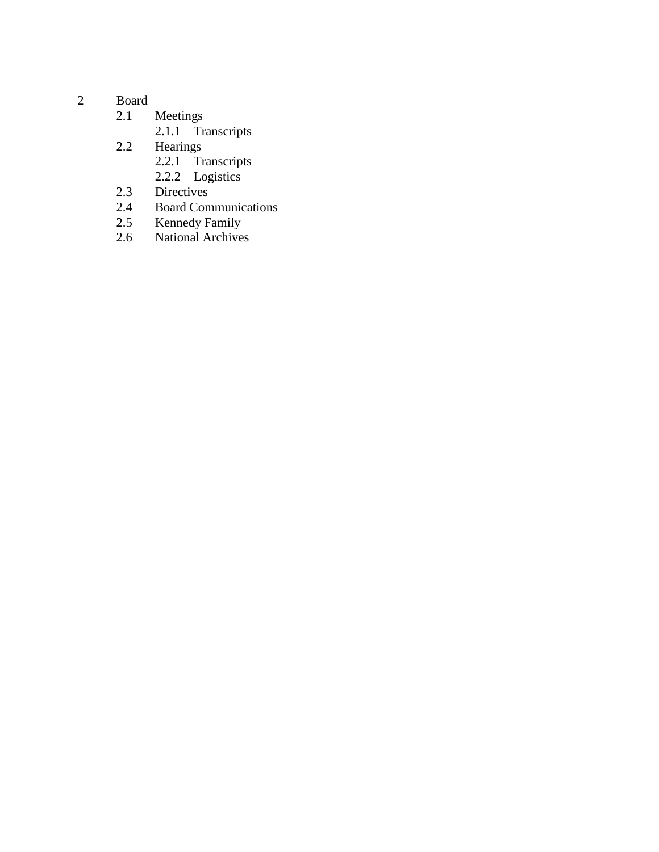- 2 Board<br> $2.1$ 
	- Meetings
		- 2.1.1 Transcripts
	- 2.2 Hearings
		- 2.2.1 Transcripts
		- 2.2.2 Logistics
	- 2.3 Directives<br>2.4 Board Com
	- 2.4 Board Communications<br>2.5 Kennedy Family
	- 2.5 Kennedy Family
	- 2.6 National Archives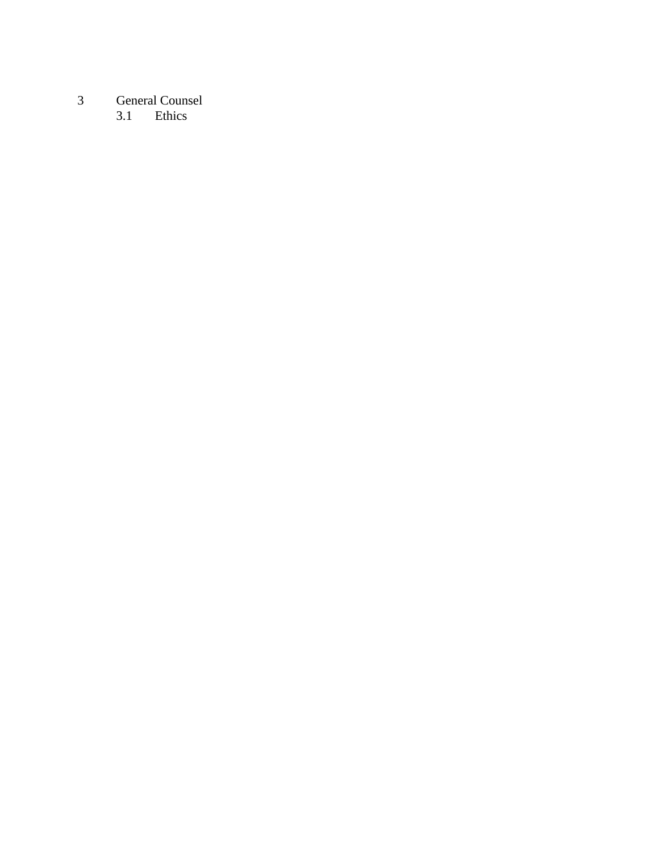# 3 General Counsel<br>3.1 Ethics

Ethics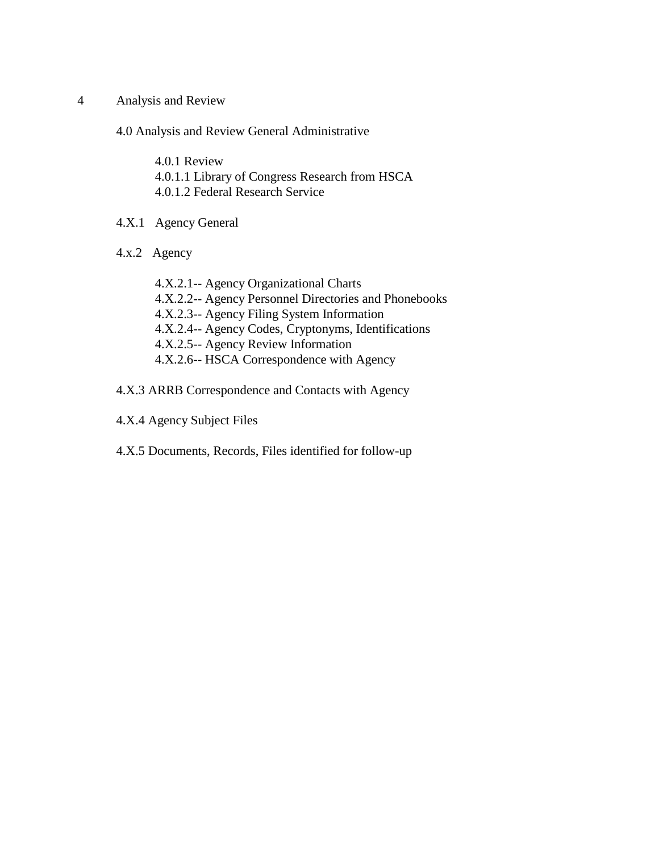4 Analysis and Review

4.0 Analysis and Review General Administrative

- 4.0.1 Review 4.0.1.1 Library of Congress Research from HSCA 4.0.1.2 Federal Research Service
- 4.X.1 Agency General
- 4.x.2 Agency
	- 4.X.2.1-- Agency Organizational Charts 4.X.2.2-- Agency Personnel Directories and Phonebooks 4.X.2.3-- Agency Filing System Information 4.X.2.4-- Agency Codes, Cryptonyms, Identifications 4.X.2.5-- Agency Review Information 4.X.2.6-- HSCA Correspondence with Agency
- 4.X.3 ARRB Correspondence and Contacts with Agency
- 4.X.4 Agency Subject Files
- 4.X.5 Documents, Records, Files identified for follow-up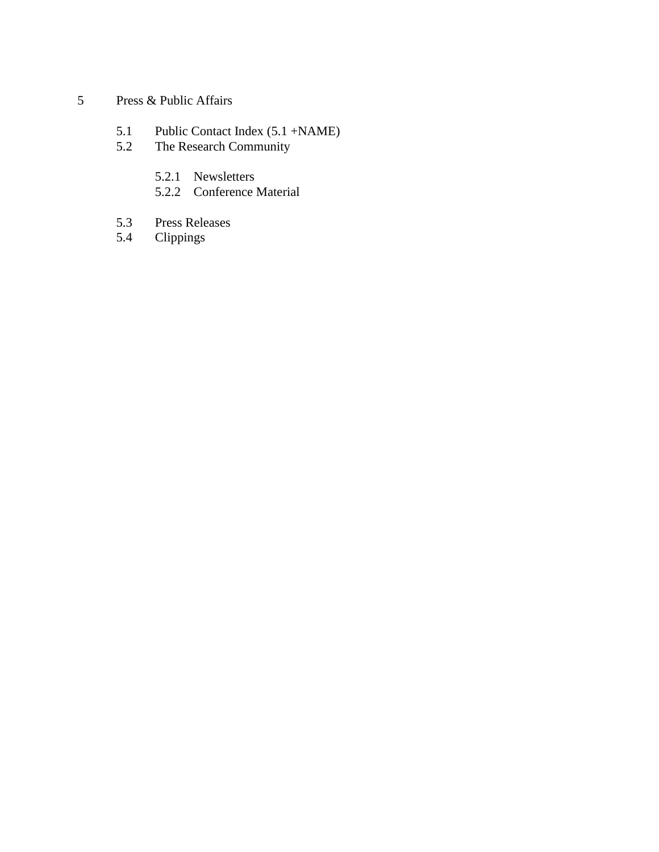- 5 Press & Public Affairs
	- 5.1 Public Contact Index (5.1 +NAME)
	- 5.2 The Research Community
		- 5.2.1 Newsletters
		- 5.2.2 Conference Material
	- 5.3 Press Releases
	- 5.4 Clippings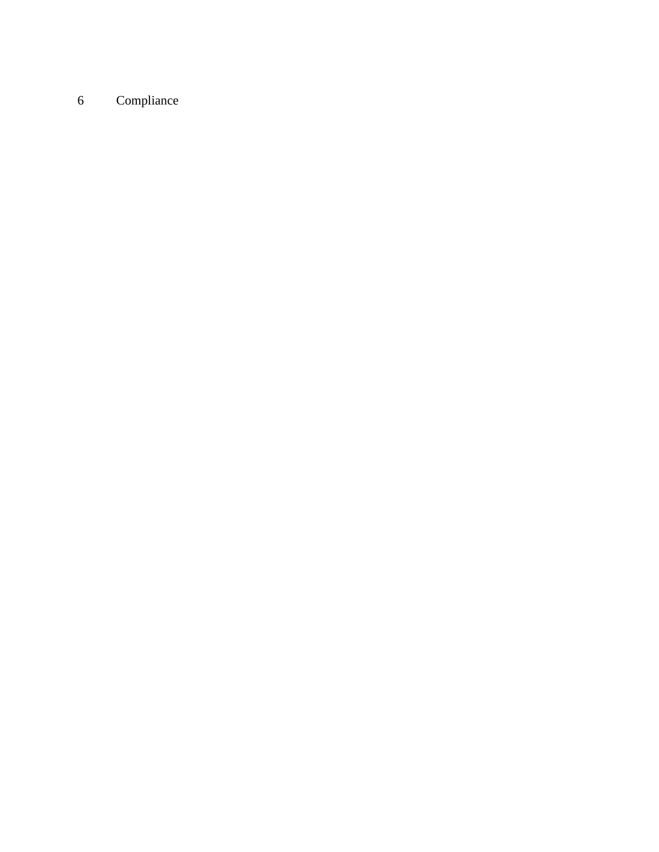### Compliance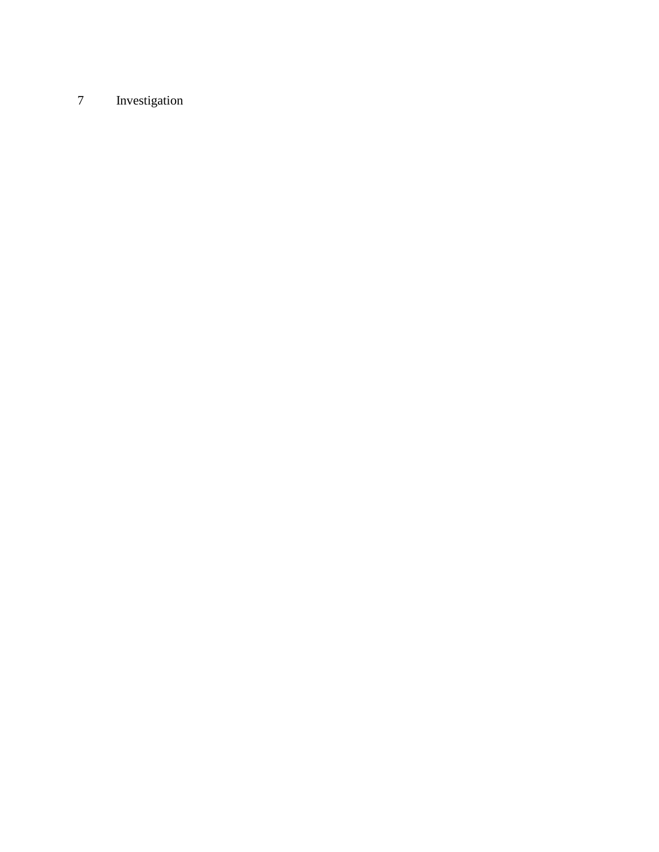## Investigation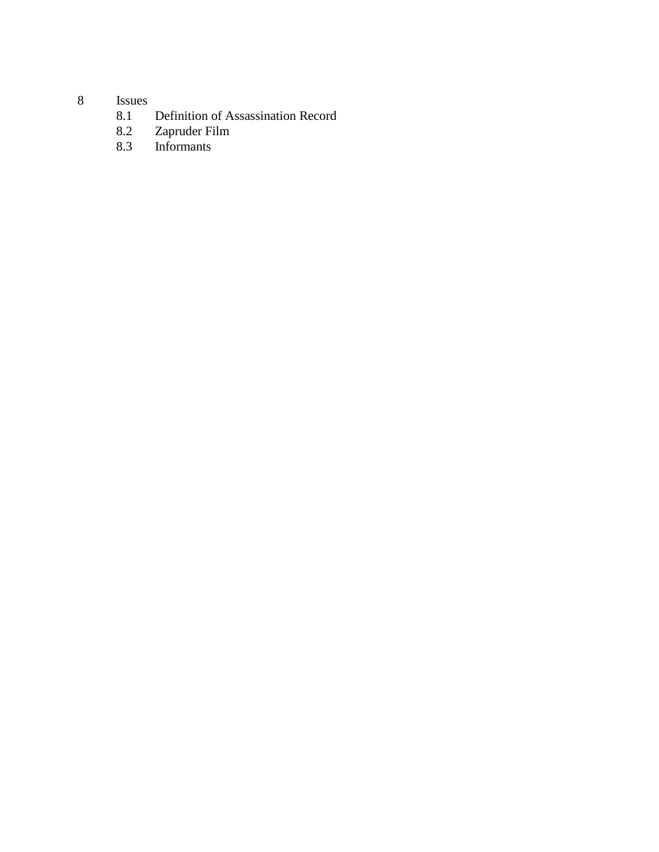# 8 Issues<br>8.1

- 8.1 Definition of Assassination Record<br>8.2 Zapruder Film
- 8.2 Zapruder Film
- 8.3 Informants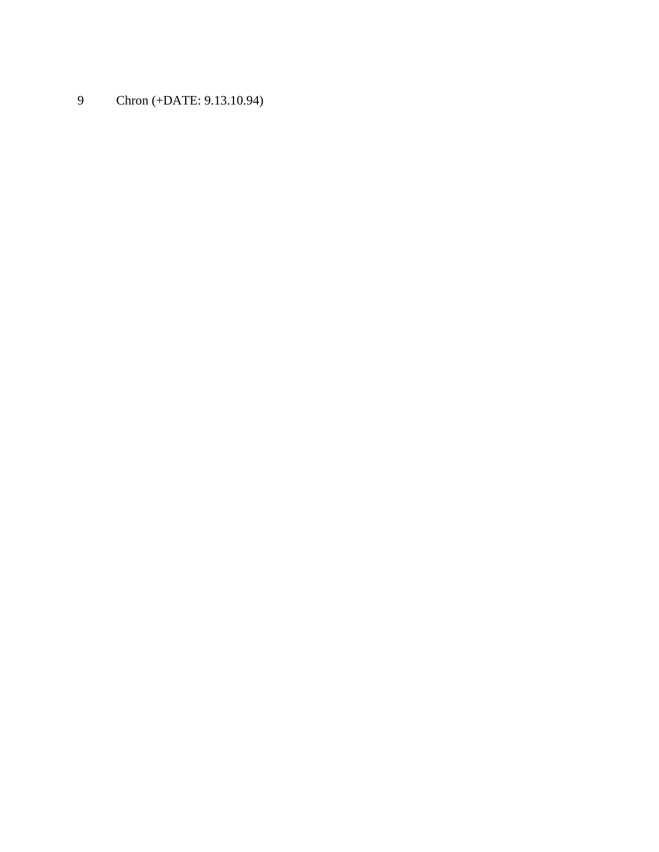Chron (+DATE: 9.13.10.94)